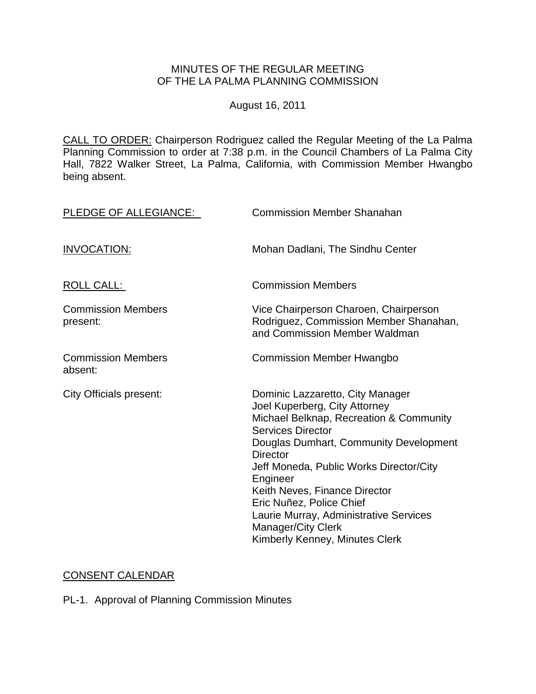#### MINUTES OF THE REGULAR MEETING OF THE LA PALMA PLANNING COMMISSION

August 16, 2011

CALL TO ORDER: [Chairperson Rodriguez called the Regular Meeting of the La Palma](http://lapalma.granicus.com/MediaPlayerFrameHandler.php?view_id=&clip_id=607&meta_id=77200)  Planning Commission [to order at 7:38 p.m. in the Council Chambers of La Palma City](http://lapalma.granicus.com/MediaPlayerFrameHandler.php?view_id=&clip_id=607&meta_id=77200)  [Hall, 7822 Walker Street, La Palma, California, with Commission](http://lapalma.granicus.com/MediaPlayerFrameHandler.php?view_id=&clip_id=607&meta_id=77200) Member Hwangbo [being absent.](http://lapalma.granicus.com/MediaPlayerFrameHandler.php?view_id=&clip_id=607&meta_id=77200) 

| PLEDGE OF ALLEGIANCE:                 | <b>Commission Member Shanahan</b>                                                                                                                                                                                                                                                                                                                                                                                                  |
|---------------------------------------|------------------------------------------------------------------------------------------------------------------------------------------------------------------------------------------------------------------------------------------------------------------------------------------------------------------------------------------------------------------------------------------------------------------------------------|
| <b>INVOCATION:</b>                    | Mohan Dadlani, The Sindhu Center                                                                                                                                                                                                                                                                                                                                                                                                   |
| <b>ROLL CALL:</b>                     | <b>Commission Members</b>                                                                                                                                                                                                                                                                                                                                                                                                          |
| <b>Commission Members</b><br>present: | Vice Chairperson Charoen, Chairperson<br>Rodriguez, Commission Member Shanahan,<br>and Commission Member Waldman                                                                                                                                                                                                                                                                                                                   |
| <b>Commission Members</b><br>absent:  | <b>Commission Member Hwangbo</b>                                                                                                                                                                                                                                                                                                                                                                                                   |
| <b>City Officials present:</b>        | Dominic Lazzaretto, City Manager<br>Joel Kuperberg, City Attorney<br>Michael Belknap, Recreation & Community<br><b>Services Director</b><br>Douglas Dumhart, Community Development<br><b>Director</b><br>Jeff Moneda, Public Works Director/City<br>Engineer<br>Keith Neves, Finance Director<br>Eric Nuñez, Police Chief<br>Laurie Murray, Administrative Services<br><b>Manager/City Clerk</b><br>Kimberly Kenney, Minutes Clerk |

# [CONSENT CALENDAR](http://lapalma.granicus.com/MediaPlayerFrameHandler.php?view_id=&clip_id=607&meta_id=77228)

PL-1. Approval of Planning Commission Minutes